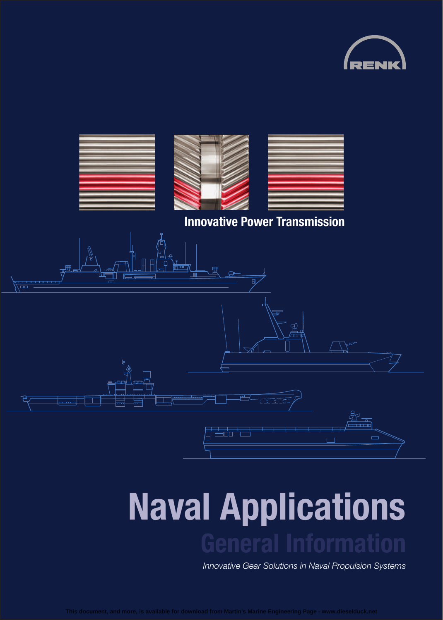



# **Naval Applications General Information**

*Innovative Gear Solutions in Naval Propulsion Systems*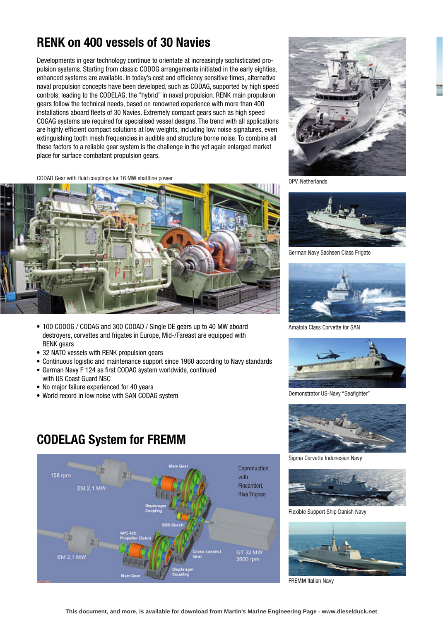Developments in gear technology continue to orientate at increasingly sophisticated propulsion systems. Starting from classic CODOG arrangements initiated in the early eighties, enhanced systems are available. In today's cost and efficiency sensitive times, alternative naval propulsion concepts have been developed, such as CODAG, supported by high speed controls, leading to the CODELAG, the "hybrid" in naval propulsion. RENK main propulsion gears follow the technical needs, based on renowned experience with more than 400 installations aboard fleets of 30 Navies. Extremely compact gears such as high speed COGAG systems are required for specialised vessel designs. The trend with all applications are highly efficient compact solutions at low weights, including low noise signatures, even extinguishing tooth mesh frequencies in audible and structure borne noise. To combine all these factors to a reliable gear system is the challenge in the yet again enlarged market place for surface combatant propulsion gears.

CODAD Gear with fluid couplings for 16 MW shaftline power



- 100 CODOG / CODAG and 300 CODAD / Single DE gears up to 40 MW aboard destroyers, corvettes and frigates in Europe, Mid-/Fareast are equipped with RENK gears
- 32 NATO vessels with RENK propulsion gears
- Continuous logistic and maintenance support since 1960 according to Navy standards
- German Navy F 124 as first CODAG system worldwide, continued with US Coast Guard NSC
- No major failure experienced for 40 years
- World record in low noise with SAN CODAG system



OPV, Netherlands



German Navy Sachsen Class Frigate



Amatola Class Corvette for SAN



Demonstrator US-Navy "Seafighter"



Sigma Corvette Indonesian Navy



Flexible Support Ship Danish Navy



FREMM Italian Navy

## **CODELAG System for FREMM**

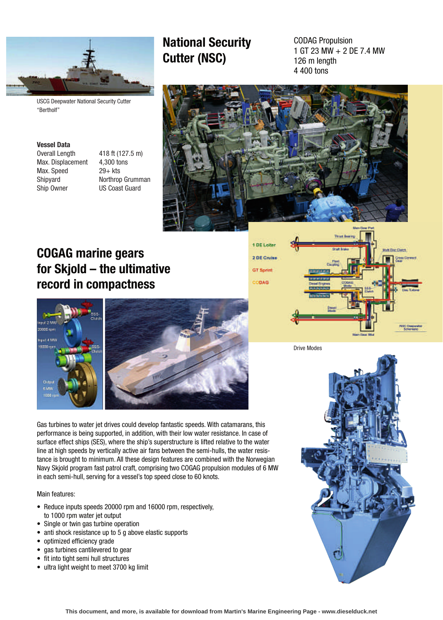

USCG Deepwater National Security Cutter "Bertholf"

#### **Vessel Data**

Max. Displacement 4,300 tons Max. Speed 29+ kts Ship Owner US Coast Guard

Overall Length 418 ft (127.5 m) Shipyard **Northrop Grumman** 

# **Cutter (NSC)**

**National Security**

1 GT 23 MW+2DE 7.4 MW 126 m length 4 400 tons



## **COGAG marine gears for Skjold – the ultimative record in compactness**





Gas turbines to water jet drives could develop fantastic speeds. With catamarans, this performance is being supported, in addition, with their low water resistance. In case of surface effect ships (SES), where the ship's superstructure is lifted relative to the water line at high speeds by vertically active air fans between the semi-hulls, the water resistance is brought to minimum. All these design features are combined with the Norwegian Navy Skjold program fast patrol craft, comprising two COGAG propulsion modules of 6 MW in each semi-hull, serving for a vessel's top speed close to 60 knots.

#### Main features:

- Reduce inputs speeds 20000 rpm and 16000 rpm, respectively, to 1000 rpm water jet output
- Single or twin gas turbine operation
- anti shock resistance up to 5 g above elastic supports
- optimized efficiency grade
- gas turbines cantilevered to gear
- fit into tight semi hull structures
- ultra light weight to meet 3700 kg limit



Drive Modes